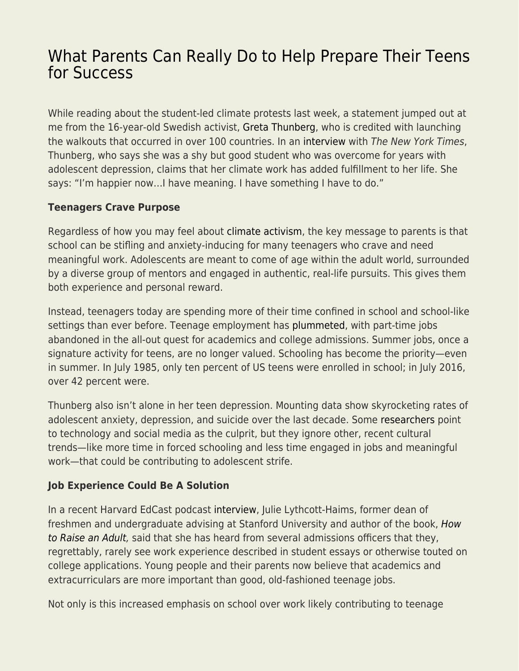## [What Parents Can Really Do to Help Prepare Their Teens](https://everything-voluntary.com/what-parents-can-really-do-to-help-prepare-their-teens-for-success) [for Success](https://everything-voluntary.com/what-parents-can-really-do-to-help-prepare-their-teens-for-success)

While reading about the student-led climate protests last week, a statement jumped out at me from the 16-year-old Swedish activist, [Greta Thunberg](https://fee.org/articles/the-real-problem-with-greta-thunberg-is-not-her-age/), who is credited with launching the walkouts that occurred in over 100 countries. In an [interview](https://www.nytimes.com/2019/02/18/climate/greta-thunburg.html?module=inline) with The New York Times, Thunberg, who says she was a shy but good student who was overcome for years with adolescent depression, claims that her climate work has added fulfillment to her life. She says: "I'm happier now…I have meaning. I have something I have to do."

## **Teenagers Crave Purpose**

Regardless of how you may feel about [climate activism](https://fee.org/articles/the-mainstreaming-of-political-fanaticism/), the key message to parents is that school can be stifling and anxiety-inducing for many teenagers who crave and need meaningful work. Adolescents are meant to come of age within the adult world, surrounded by a diverse group of mentors and engaged in authentic, real-life pursuits. This gives them both experience and personal reward.

Instead, teenagers today are spending more of their time confined in school and school-like settings than ever before. Teenage employment has [plummeted](https://www.bls.gov/opub/mlr/2017/article/teen-labor-force-participation-before-and-after-the-great-recession.htm), with part-time jobs abandoned in the all-out quest for academics and college admissions. Summer jobs, once a signature activity for teens, are no longer valued. Schooling has become the priority—even in summer. In July 1985, only ten percent of US teens were enrolled in school; in July 2016, over 42 percent were.

Thunberg also isn't alone in her teen depression. Mounting data show skyrocketing rates of adolescent anxiety, depression, and suicide over the last decade. Some [researchers](https://www.apa.org/news/press/releases/2019/03/mental-health-adults) point to technology and social media as the culprit, but they ignore other, recent cultural trends—like more time in forced schooling and less time engaged in jobs and meaningful work—that could be contributing to adolescent strife.

## **Job Experience Could Be A Solution**

In a recent Harvard EdCast podcast [interview,](https://www.gse.harvard.edu/news/19/03/harvard-edcast-overparented-underprepared) Julie Lythcott-Haims, former dean of freshmen and undergraduate advising at Stanford University and author of the book, [How](https://amzn.to/2Y9oDO6) [to Raise an Adult,](https://amzn.to/2Y9oDO6) said that she has heard from several admissions officers that they, regrettably, rarely see work experience described in student essays or otherwise touted on college applications. Young people and their parents now believe that academics and extracurriculars are more important than good, old-fashioned teenage jobs.

Not only is this increased emphasis on school over work likely contributing to teenage